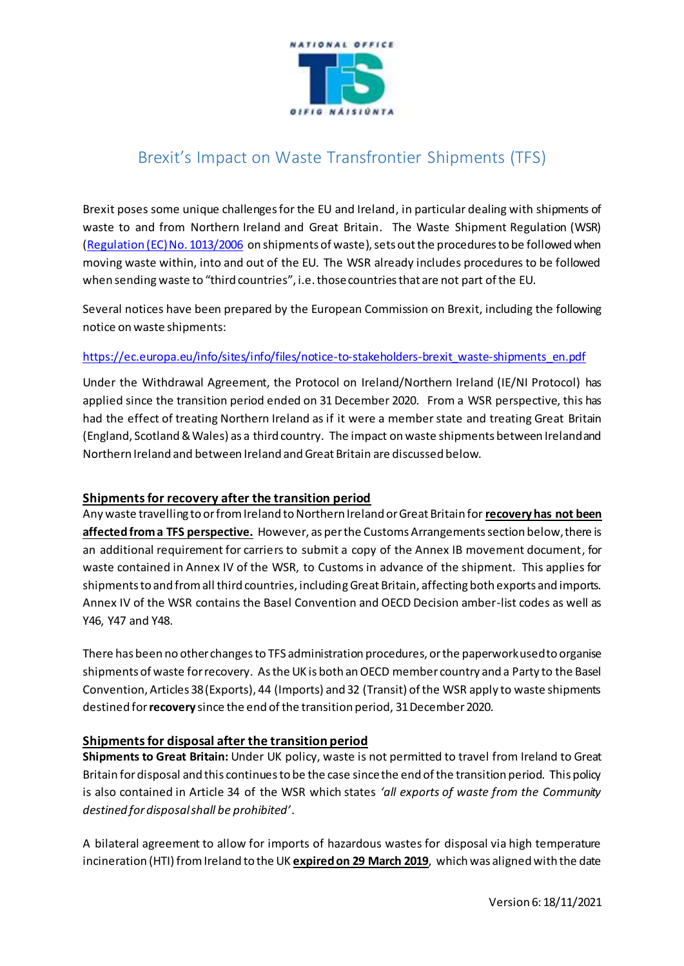

# Brexit's Impact on Waste Transfrontier Shipments (TFS)

Brexit poses some unique challenges for the EU and Ireland, in particular dealing with shipments of waste to and from Northern Ireland and Great Britain. The Waste Shipment Regulation (WSR) [\(Regulation \(EC\) No. 1013/2006](http://faolex.fao.org/docs/pdf/eur65175.pdf) on shipments of waste), sets out the procedures to be followed when moving waste within, into and out of the EU. The WSR already includes procedures to be followed when sending waste to "third countries", i.e. those countries that are not part of the EU.

Several notices have been prepared by the European Commission on Brexit, including the following notice on waste shipments:

## [https://ec.europa.eu/info/sites/info/files/notice-to-stakeholders-brexit\\_waste-shipments\\_en.pdf](https://ec.europa.eu/info/sites/info/files/notice-to-stakeholders-brexit_waste-shipments_en.pdf)

Under the Withdrawal Agreement, the Protocol on Ireland/Northern Ireland (IE/NI Protocol) has applied since the transition period ended on 31 December 2020. From a WSR perspective, this has had the effect of treating Northern Ireland as if it were a member state and treating Great Britain (England, Scotland & Wales) as a third country. The impact on waste shipments between Ireland and Northern Ireland and between Ireland and Great Britain are discussed below.

### **Shipments for recovery after the transition period**

Any waste travelling to or from Ireland to Northern Ireland or Great Britain for **recovery has not been affected from a TFS perspective.** However, as per the Customs Arrangements section below, there is an additional requirement for carriers to submit a copy of the Annex IB movement document, for waste contained in Annex IV of the WSR, to Customs in advance of the shipment. This applies for shipments to and from all third countries, includingGreat Britain, affecting both exports and imports. Annex IV of the WSR contains the Basel Convention and OECD Decision amber-list codes as well as Y46, Y47 and Y48.

There has been no other changes to TFS administration procedures, or the paperwork used to organise shipments of waste for recovery.As the UK is both an OECD member country and a Party to the Basel Convention, Articles 38 (Exports), 44 (Imports) and 32 (Transit) of the WSR apply to waste shipments destined for **recovery** since the end of the transition period, 31 December 2020.

### **Shipments for disposal after the transition period**

**Shipments to Great Britain:** Under UK policy, waste is not permitted to travel from Ireland to Great Britain for disposal and this continuesto be the case since the end of the transition period. This policy is also contained in Article 34 of the WSR which states *'all exports of waste from the Community destined for disposal shall be prohibited'*.

A bilateral agreement to allow for imports of hazardous wastes for disposal via high temperature incineration (HTI) from Ireland to the UK **expired on 29 March 2019**, which was aligned with the date